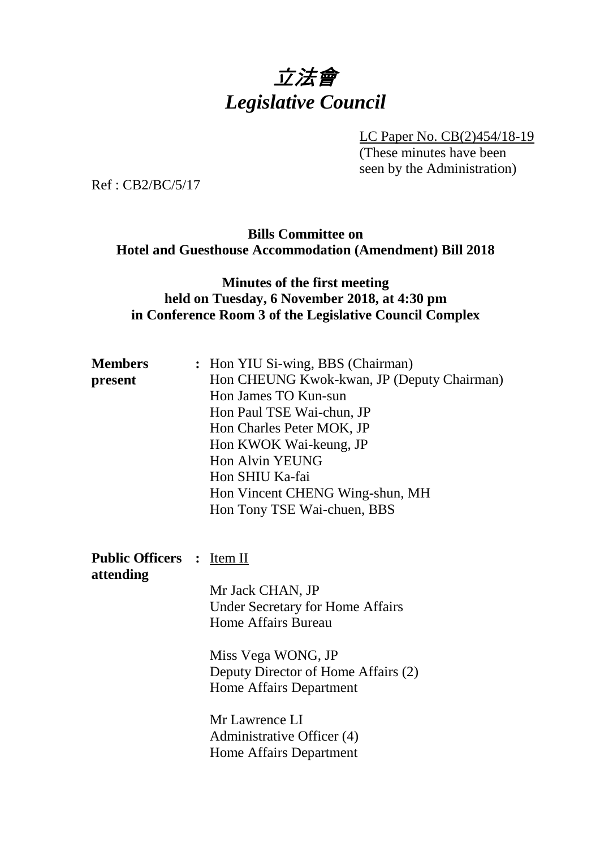# 立法會 *Legislative Council*

LC Paper No. CB(2)454/18-19

(These minutes have been seen by the Administration)

Ref : CB2/BC/5/17

## **Bills Committee on Hotel and Guesthouse Accommodation (Amendment) Bill 2018**

## **Minutes of the first meeting held on Tuesday, 6 November 2018, at 4:30 pm in Conference Room 3 of the Legislative Council Complex**

| <b>Members</b>                   | : Hon YIU Si-wing, BBS (Chairman)          |
|----------------------------------|--------------------------------------------|
| present                          | Hon CHEUNG Kwok-kwan, JP (Deputy Chairman) |
|                                  | Hon James TO Kun-sun                       |
|                                  | Hon Paul TSE Wai-chun, JP                  |
|                                  | Hon Charles Peter MOK, JP                  |
|                                  | Hon KWOK Wai-keung, JP                     |
|                                  | Hon Alvin YEUNG                            |
|                                  | Hon SHIU Ka-fai                            |
|                                  | Hon Vincent CHENG Wing-shun, MH            |
|                                  | Hon Tony TSE Wai-chuen, BBS                |
|                                  |                                            |
|                                  |                                            |
| <b>Public Officers : Item II</b> |                                            |
| attending                        |                                            |
|                                  | Mr Jack CHAN, JP                           |
|                                  | <b>Under Secretary for Home Affairs</b>    |
|                                  | Home Affairs Bureau                        |
|                                  | Miss Vega WONG, JP                         |
|                                  | Deputy Director of Home Affairs (2)        |
|                                  | Home Affairs Department                    |
|                                  |                                            |
|                                  | Mr Lawrence LI                             |
|                                  | Administrative Officer (4)                 |
|                                  | Home Affairs Department                    |
|                                  |                                            |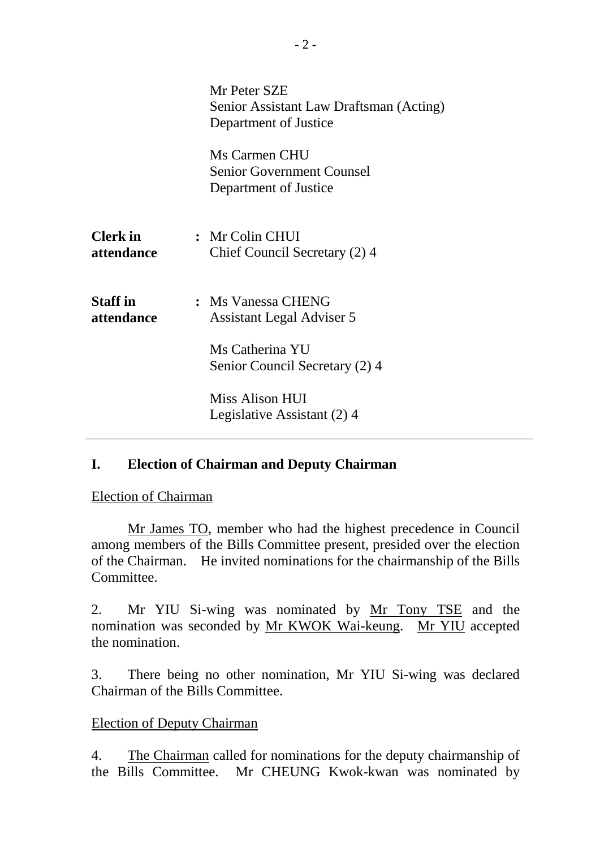|                               | Mr Peter SZE<br>Senior Assistant Law Draftsman (Acting)<br>Department of Justice                     |
|-------------------------------|------------------------------------------------------------------------------------------------------|
|                               | Ms Carmen CHU<br><b>Senior Government Counsel</b><br>Department of Justice                           |
| <b>Clerk</b> in<br>attendance | : Mr Colin CHUI<br>Chief Council Secretary (2) 4                                                     |
| <b>Staff</b> in<br>attendance | : Ms Vanessa CHENG<br>Assistant Legal Adviser 5<br>Ms Catherina YU<br>Senior Council Secretary (2) 4 |
|                               | Miss Alison HUI<br>Legislative Assistant (2) 4                                                       |

# **I. Election of Chairman and Deputy Chairman**

Election of Chairman

Mr James TO, member who had the highest precedence in Council among members of the Bills Committee present, presided over the election of the Chairman. He invited nominations for the chairmanship of the Bills Committee.

2. Mr YIU Si-wing was nominated by Mr Tony TSE and the nomination was seconded by Mr KWOK Wai-keung. Mr YIU accepted the nomination.

3. There being no other nomination, Mr YIU Si-wing was declared Chairman of the Bills Committee.

#### Election of Deputy Chairman

4. The Chairman called for nominations for the deputy chairmanship of the Bills Committee. Mr CHEUNG Kwok-kwan was nominated by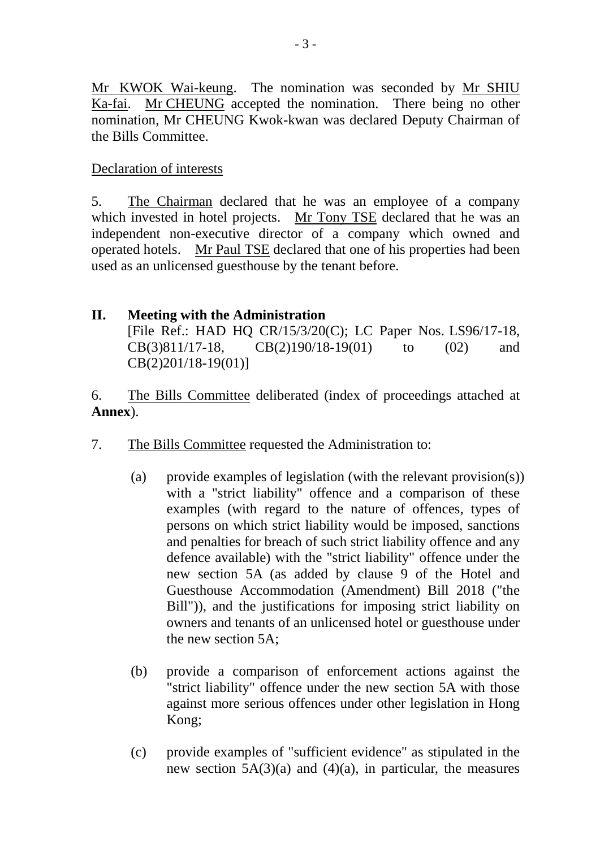Mr KWOK Wai-keung. The nomination was seconded by Mr SHIU Ka-fai. Mr CHEUNG accepted the nomination. There being no other nomination, Mr CHEUNG Kwok-kwan was declared Deputy Chairman of the Bills Committee.

Declaration of interests

5. The Chairman declared that he was an employee of a company which invested in hotel projects. Mr Tony TSE declared that he was an independent non-executive director of a company which owned and operated hotels. Mr Paul TSE declared that one of his properties had been used as an unlicensed guesthouse by the tenant before.

### **II. Meeting with the Administration** [File Ref.: HAD HQ CR/15/3/20(C); LC Paper Nos. LS96/17-18, CB(3)811/17-18, CB(2)190/18-19(01) to (02) and CB(2)201/18-19(01)]

6. The Bills Committee deliberated (index of proceedings attached at **Annex**).

- 7. The Bills Committee requested the Administration to:
	- (a) provide examples of legislation (with the relevant provision(s)) with a "strict liability" offence and a comparison of these examples (with regard to the nature of offences, types of persons on which strict liability would be imposed, sanctions and penalties for breach of such strict liability offence and any defence available) with the "strict liability" offence under the new section 5A (as added by clause 9 of the Hotel and Guesthouse Accommodation (Amendment) Bill 2018 ("the Bill")), and the justifications for imposing strict liability on owners and tenants of an unlicensed hotel or guesthouse under the new section 5A;
	- (b) provide a comparison of enforcement actions against the "strict liability" offence under the new section 5A with those against more serious offences under other legislation in Hong Kong;
	- (c) provide examples of "sufficient evidence" as stipulated in the new section 5A(3)(a) and (4)(a), in particular, the measures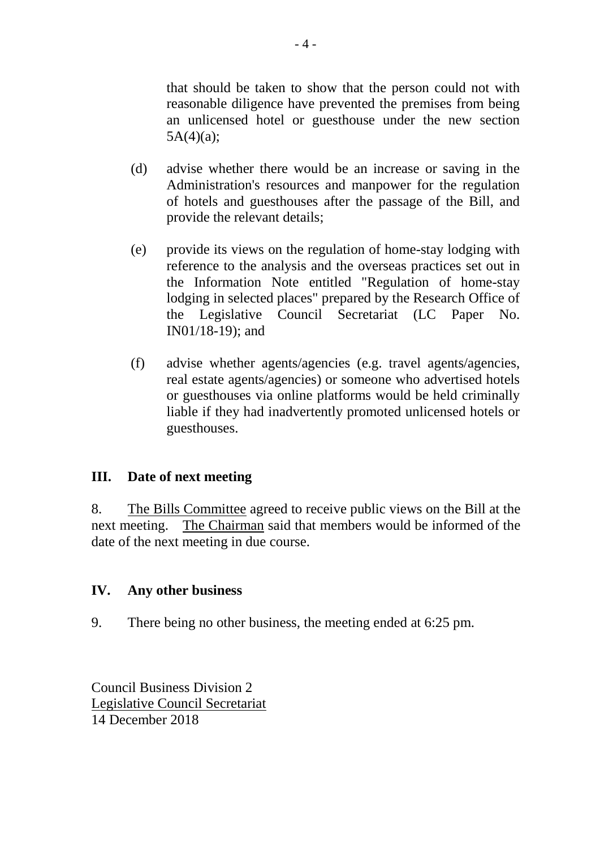that should be taken to show that the person could not with reasonable diligence have prevented the premises from being an unlicensed hotel or guesthouse under the new section  $5A(4)(a);$ 

- (d) advise whether there would be an increase or saving in the Administration's resources and manpower for the regulation of hotels and guesthouses after the passage of the Bill, and provide the relevant details;
- (e) provide its views on the regulation of home-stay lodging with reference to the analysis and the overseas practices set out in the Information Note entitled "Regulation of home-stay lodging in selected places" prepared by the Research Office of the Legislative Council Secretariat (LC Paper No. IN01/18-19); and
- (f) advise whether agents/agencies (e.g. travel agents/agencies, real estate agents/agencies) or someone who advertised hotels or guesthouses via online platforms would be held criminally liable if they had inadvertently promoted unlicensed hotels or guesthouses.

## **III. Date of next meeting**

8. The Bills Committee agreed to receive public views on the Bill at the next meeting. The Chairman said that members would be informed of the date of the next meeting in due course.

#### **IV. Any other business**

9. There being no other business, the meeting ended at 6:25 pm.

Council Business Division 2 Legislative Council Secretariat 14 December 2018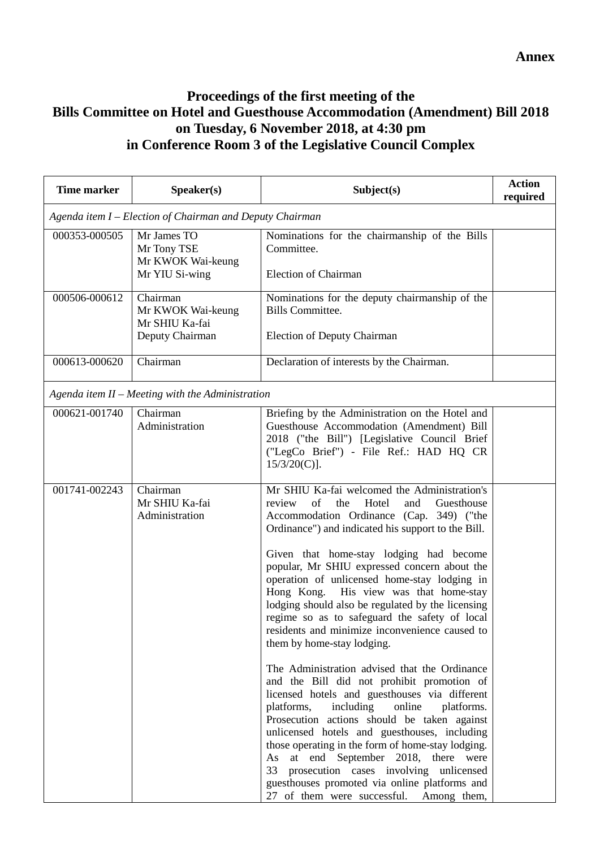## **Proceedings of the first meeting of the Bills Committee on Hotel and Guesthouse Accommodation (Amendment) Bill 2018 on Tuesday, 6 November 2018, at 4:30 pm in Conference Room 3 of the Legislative Council Complex**

| <b>Time marker</b> | Speaker(s)                                                         | Subject(s)                                                                                                                                                                                                                                                                                                                                                                                                                                                                                                                                                                                                                                                                                                                                                                                                                                                                                                                                                                                                                                                                                                             | <b>Action</b><br>required |
|--------------------|--------------------------------------------------------------------|------------------------------------------------------------------------------------------------------------------------------------------------------------------------------------------------------------------------------------------------------------------------------------------------------------------------------------------------------------------------------------------------------------------------------------------------------------------------------------------------------------------------------------------------------------------------------------------------------------------------------------------------------------------------------------------------------------------------------------------------------------------------------------------------------------------------------------------------------------------------------------------------------------------------------------------------------------------------------------------------------------------------------------------------------------------------------------------------------------------------|---------------------------|
|                    | Agenda item I – Election of Chairman and Deputy Chairman           |                                                                                                                                                                                                                                                                                                                                                                                                                                                                                                                                                                                                                                                                                                                                                                                                                                                                                                                                                                                                                                                                                                                        |                           |
| 000353-000505      | Mr James TO<br>Mr Tony TSE<br>Mr KWOK Wai-keung<br>Mr YIU Si-wing  | Nominations for the chairmanship of the Bills<br>Committee.<br><b>Election of Chairman</b>                                                                                                                                                                                                                                                                                                                                                                                                                                                                                                                                                                                                                                                                                                                                                                                                                                                                                                                                                                                                                             |                           |
| 000506-000612      | Chairman<br>Mr KWOK Wai-keung<br>Mr SHIU Ka-fai<br>Deputy Chairman | Nominations for the deputy chairmanship of the<br><b>Bills Committee.</b><br><b>Election of Deputy Chairman</b>                                                                                                                                                                                                                                                                                                                                                                                                                                                                                                                                                                                                                                                                                                                                                                                                                                                                                                                                                                                                        |                           |
| 000613-000620      | Chairman                                                           | Declaration of interests by the Chairman.                                                                                                                                                                                                                                                                                                                                                                                                                                                                                                                                                                                                                                                                                                                                                                                                                                                                                                                                                                                                                                                                              |                           |
|                    | Agenda item $II$ – Meeting with the Administration                 |                                                                                                                                                                                                                                                                                                                                                                                                                                                                                                                                                                                                                                                                                                                                                                                                                                                                                                                                                                                                                                                                                                                        |                           |
| 000621-001740      | Chairman<br>Administration                                         | Briefing by the Administration on the Hotel and<br>Guesthouse Accommodation (Amendment) Bill<br>2018 ("the Bill") [Legislative Council Brief<br>("LegCo Brief") - File Ref.: HAD HQ CR<br>$15/3/20(C)$ ].                                                                                                                                                                                                                                                                                                                                                                                                                                                                                                                                                                                                                                                                                                                                                                                                                                                                                                              |                           |
| 001741-002243      | Chairman<br>Mr SHIU Ka-fai<br>Administration                       | Mr SHIU Ka-fai welcomed the Administration's<br>of<br>Hotel<br>review<br>the<br>Guesthouse<br>and<br>Accommodation Ordinance (Cap. 349) ("the<br>Ordinance") and indicated his support to the Bill.<br>Given that home-stay lodging had become<br>popular, Mr SHIU expressed concern about the<br>operation of unlicensed home-stay lodging in<br>Hong Kong. His view was that home-stay<br>lodging should also be regulated by the licensing<br>regime so as to safeguard the safety of local<br>residents and minimize inconvenience caused to<br>them by home-stay lodging.<br>The Administration advised that the Ordinance<br>and the Bill did not prohibit promotion of<br>licensed hotels and guesthouses via different<br>platforms,<br>including<br>online<br>platforms.<br>Prosecution actions should be taken against<br>unlicensed hotels and guesthouses, including<br>those operating in the form of home-stay lodging.<br>As at end September 2018, there were<br>33 prosecution cases involving unlicensed<br>guesthouses promoted via online platforms and<br>27 of them were successful. Among them, |                           |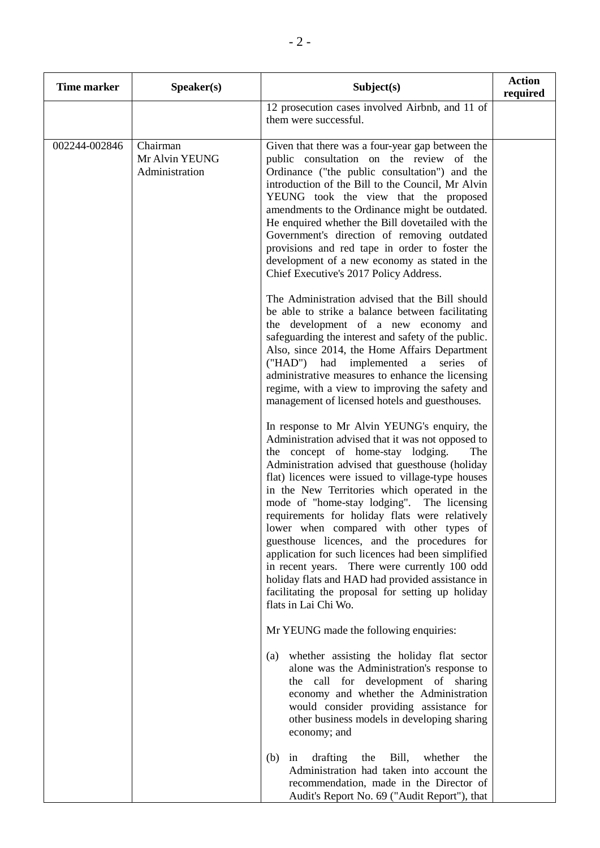| <b>Time marker</b> | Speaker(s)                                   | Subject(s)                                                                                                                                                                                                                                                                                                                                                                                                                                                                                                                                                                                                                                                                                                                            | <b>Action</b><br>required |
|--------------------|----------------------------------------------|---------------------------------------------------------------------------------------------------------------------------------------------------------------------------------------------------------------------------------------------------------------------------------------------------------------------------------------------------------------------------------------------------------------------------------------------------------------------------------------------------------------------------------------------------------------------------------------------------------------------------------------------------------------------------------------------------------------------------------------|---------------------------|
|                    |                                              | 12 prosecution cases involved Airbnb, and 11 of<br>them were successful.                                                                                                                                                                                                                                                                                                                                                                                                                                                                                                                                                                                                                                                              |                           |
| 002244-002846      | Chairman<br>Mr Alvin YEUNG<br>Administration | Given that there was a four-year gap between the<br>public consultation on the review of the<br>Ordinance ("the public consultation") and the<br>introduction of the Bill to the Council, Mr Alvin<br>YEUNG took the view that the proposed<br>amendments to the Ordinance might be outdated.<br>He enquired whether the Bill dovetailed with the<br>Government's direction of removing outdated<br>provisions and red tape in order to foster the<br>development of a new economy as stated in the<br>Chief Executive's 2017 Policy Address.<br>The Administration advised that the Bill should                                                                                                                                      |                           |
|                    |                                              | be able to strike a balance between facilitating<br>the development of a new economy and<br>safeguarding the interest and safety of the public.<br>Also, since 2014, the Home Affairs Department<br>("HAD") had implemented<br>a series<br>of<br>administrative measures to enhance the licensing<br>regime, with a view to improving the safety and<br>management of licensed hotels and guesthouses.                                                                                                                                                                                                                                                                                                                                |                           |
|                    |                                              | In response to Mr Alvin YEUNG's enquiry, the<br>Administration advised that it was not opposed to<br>the concept of home-stay lodging.<br>The<br>Administration advised that guesthouse (holiday<br>flat) licences were issued to village-type houses<br>in the New Territories which operated in the<br>mode of "home-stay lodging". The licensing<br>requirements for holiday flats were relatively<br>lower when compared with other types of<br>guesthouse licences, and the procedures for<br>application for such licences had been simplified<br>in recent years. There were currently 100 odd<br>holiday flats and HAD had provided assistance in<br>facilitating the proposal for setting up holiday<br>flats in Lai Chi Wo. |                           |
|                    |                                              | Mr YEUNG made the following enquiries:<br>whether assisting the holiday flat sector<br>(a)<br>alone was the Administration's response to<br>the call for development of sharing<br>economy and whether the Administration<br>would consider providing assistance for<br>other business models in developing sharing<br>economy; and                                                                                                                                                                                                                                                                                                                                                                                                   |                           |
|                    |                                              | drafting<br>Bill,<br>whether<br>(b)<br>the<br>the<br>in<br>Administration had taken into account the<br>recommendation, made in the Director of<br>Audit's Report No. 69 ("Audit Report"), that                                                                                                                                                                                                                                                                                                                                                                                                                                                                                                                                       |                           |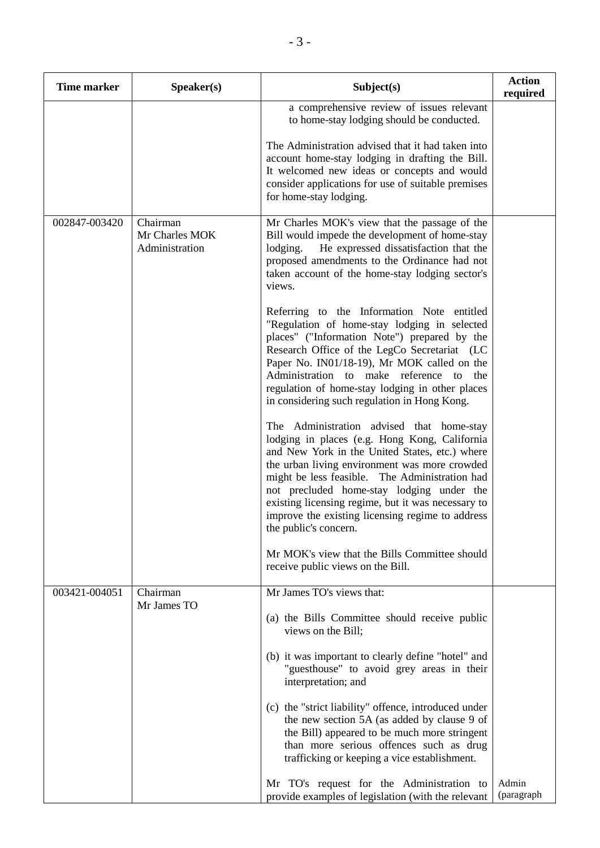| <b>Time marker</b> | Speaker(s)                                   | Subject(s)                                                                                                                                                                                                                                                                                                                                                                                                                      | <b>Action</b><br>required |
|--------------------|----------------------------------------------|---------------------------------------------------------------------------------------------------------------------------------------------------------------------------------------------------------------------------------------------------------------------------------------------------------------------------------------------------------------------------------------------------------------------------------|---------------------------|
|                    |                                              | a comprehensive review of issues relevant<br>to home-stay lodging should be conducted.                                                                                                                                                                                                                                                                                                                                          |                           |
|                    |                                              | The Administration advised that it had taken into<br>account home-stay lodging in drafting the Bill.<br>It welcomed new ideas or concepts and would<br>consider applications for use of suitable premises<br>for home-stay lodging.                                                                                                                                                                                             |                           |
| 002847-003420      | Chairman<br>Mr Charles MOK<br>Administration | Mr Charles MOK's view that the passage of the<br>Bill would impede the development of home-stay<br>lodging.<br>He expressed dissatisfaction that the<br>proposed amendments to the Ordinance had not<br>taken account of the home-stay lodging sector's<br>views.                                                                                                                                                               |                           |
|                    |                                              | Referring to the Information Note entitled<br>"Regulation of home-stay lodging in selected<br>places" ("Information Note") prepared by the<br>Research Office of the LegCo Secretariat (LC<br>Paper No. IN01/18-19), Mr MOK called on the<br>Administration to make reference to<br>the<br>regulation of home-stay lodging in other places<br>in considering such regulation in Hong Kong.                                      |                           |
|                    |                                              | The Administration advised that home-stay<br>lodging in places (e.g. Hong Kong, California<br>and New York in the United States, etc.) where<br>the urban living environment was more crowded<br>might be less feasible. The Administration had<br>not precluded home-stay lodging under the<br>existing licensing regime, but it was necessary to<br>improve the existing licensing regime to address<br>the public's concern. |                           |
|                    |                                              | Mr MOK's view that the Bills Committee should<br>receive public views on the Bill.                                                                                                                                                                                                                                                                                                                                              |                           |
| 003421-004051      | Chairman<br>Mr James TO                      | Mr James TO's views that:<br>(a) the Bills Committee should receive public<br>views on the Bill;                                                                                                                                                                                                                                                                                                                                |                           |
|                    |                                              | (b) it was important to clearly define "hotel" and<br>"guesthouse" to avoid grey areas in their<br>interpretation; and                                                                                                                                                                                                                                                                                                          |                           |
|                    |                                              | (c) the "strict liability" offence, introduced under<br>the new section 5A (as added by clause 9 of<br>the Bill) appeared to be much more stringent<br>than more serious offences such as drug<br>trafficking or keeping a vice establishment.                                                                                                                                                                                  |                           |
|                    |                                              | Mr TO's request for the Administration to<br>provide examples of legislation (with the relevant                                                                                                                                                                                                                                                                                                                                 | Admin<br>(paragraph       |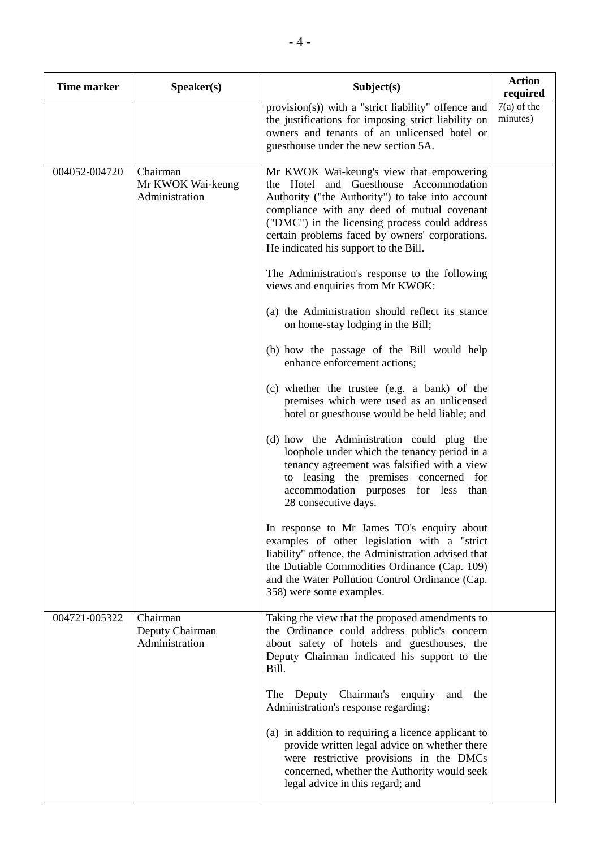| <b>Time marker</b> | Speaker(s)                                      | Subject(s)                                                                                                                                                                                                                                                                                                                          | <b>Action</b><br>required |
|--------------------|-------------------------------------------------|-------------------------------------------------------------------------------------------------------------------------------------------------------------------------------------------------------------------------------------------------------------------------------------------------------------------------------------|---------------------------|
|                    |                                                 | provision(s)) with a "strict liability" offence and<br>the justifications for imposing strict liability on<br>owners and tenants of an unlicensed hotel or<br>guesthouse under the new section 5A.                                                                                                                                  | $7(a)$ of the<br>minutes) |
| 004052-004720      | Chairman<br>Mr KWOK Wai-keung<br>Administration | Mr KWOK Wai-keung's view that empowering<br>the Hotel and Guesthouse Accommodation<br>Authority ("the Authority") to take into account<br>compliance with any deed of mutual covenant<br>("DMC") in the licensing process could address<br>certain problems faced by owners' corporations.<br>He indicated his support to the Bill. |                           |
|                    |                                                 | The Administration's response to the following<br>views and enquiries from Mr KWOK:                                                                                                                                                                                                                                                 |                           |
|                    |                                                 | (a) the Administration should reflect its stance<br>on home-stay lodging in the Bill;                                                                                                                                                                                                                                               |                           |
|                    |                                                 | (b) how the passage of the Bill would help<br>enhance enforcement actions;                                                                                                                                                                                                                                                          |                           |
|                    |                                                 | (c) whether the trustee (e.g. a bank) of the<br>premises which were used as an unlicensed<br>hotel or guesthouse would be held liable; and                                                                                                                                                                                          |                           |
|                    |                                                 | (d) how the Administration could plug the<br>loophole under which the tenancy period in a<br>tenancy agreement was falsified with a view<br>to leasing the premises concerned for<br>accommodation purposes for less<br>than<br>28 consecutive days.                                                                                |                           |
|                    |                                                 | In response to Mr James TO's enquiry about<br>examples of other legislation with a "strict<br>liability" offence, the Administration advised that<br>the Dutiable Commodities Ordinance (Cap. 109)<br>and the Water Pollution Control Ordinance (Cap.<br>358) were some examples.                                                   |                           |
| 004721-005322      | Chairman<br>Deputy Chairman<br>Administration   | Taking the view that the proposed amendments to<br>the Ordinance could address public's concern<br>about safety of hotels and guesthouses, the<br>Deputy Chairman indicated his support to the<br>Bill.                                                                                                                             |                           |
|                    |                                                 | Deputy Chairman's<br>enquiry<br>and<br>The<br>the<br>Administration's response regarding:                                                                                                                                                                                                                                           |                           |
|                    |                                                 | (a) in addition to requiring a licence applicant to<br>provide written legal advice on whether there<br>were restrictive provisions in the DMCs<br>concerned, whether the Authority would seek<br>legal advice in this regard; and                                                                                                  |                           |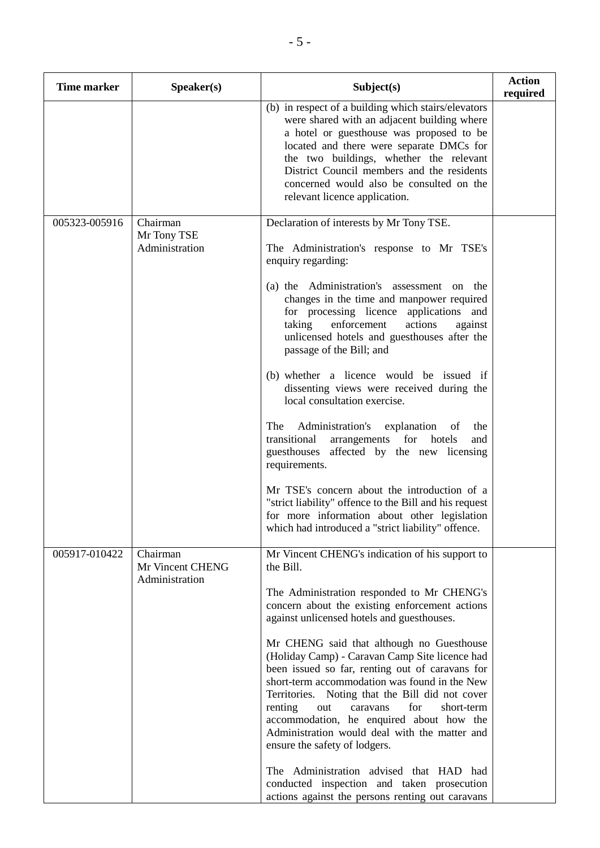| <b>Time marker</b> | Speaker(s)                                     | Subject(s)                                                                                                                                                                                                                                                                                                                                                                                                                                                                                                                                                                                                                                                                                                                                                                                     | <b>Action</b><br>required |
|--------------------|------------------------------------------------|------------------------------------------------------------------------------------------------------------------------------------------------------------------------------------------------------------------------------------------------------------------------------------------------------------------------------------------------------------------------------------------------------------------------------------------------------------------------------------------------------------------------------------------------------------------------------------------------------------------------------------------------------------------------------------------------------------------------------------------------------------------------------------------------|---------------------------|
|                    |                                                | (b) in respect of a building which stairs/elevators<br>were shared with an adjacent building where<br>a hotel or guesthouse was proposed to be<br>located and there were separate DMCs for<br>the two buildings, whether the relevant<br>District Council members and the residents<br>concerned would also be consulted on the<br>relevant licence application.                                                                                                                                                                                                                                                                                                                                                                                                                               |                           |
| 005323-005916      | Chairman<br>Mr Tony TSE<br>Administration      | Declaration of interests by Mr Tony TSE.<br>The Administration's response to Mr TSE's<br>enquiry regarding:<br>(a) the Administration's assessment on the<br>changes in the time and manpower required<br>for processing licence applications and<br>taking<br>enforcement<br>actions<br>against<br>unlicensed hotels and guesthouses after the<br>passage of the Bill; and<br>(b) whether a licence would be issued if<br>dissenting views were received during the<br>local consultation exercise.<br>The<br>Administration's<br>explanation<br>of<br>the<br>arrangements for hotels<br>transitional<br>and<br>affected by the new licensing<br>guesthouses                                                                                                                                  |                           |
|                    |                                                | requirements.<br>Mr TSE's concern about the introduction of a<br>"strict liability" offence to the Bill and his request<br>for more information about other legislation<br>which had introduced a "strict liability" offence.                                                                                                                                                                                                                                                                                                                                                                                                                                                                                                                                                                  |                           |
| 005917-010422      | Chairman<br>Mr Vincent CHENG<br>Administration | Mr Vincent CHENG's indication of his support to<br>the Bill.<br>The Administration responded to Mr CHENG's<br>concern about the existing enforcement actions<br>against unlicensed hotels and guesthouses.<br>Mr CHENG said that although no Guesthouse<br>(Holiday Camp) - Caravan Camp Site licence had<br>been issued so far, renting out of caravans for<br>short-term accommodation was found in the New<br>Territories. Noting that the Bill did not cover<br>renting<br>for<br>short-term<br>caravans<br>out<br>accommodation, he enquired about how the<br>Administration would deal with the matter and<br>ensure the safety of lodgers.<br>The Administration advised that HAD had<br>conducted inspection and taken prosecution<br>actions against the persons renting out caravans |                           |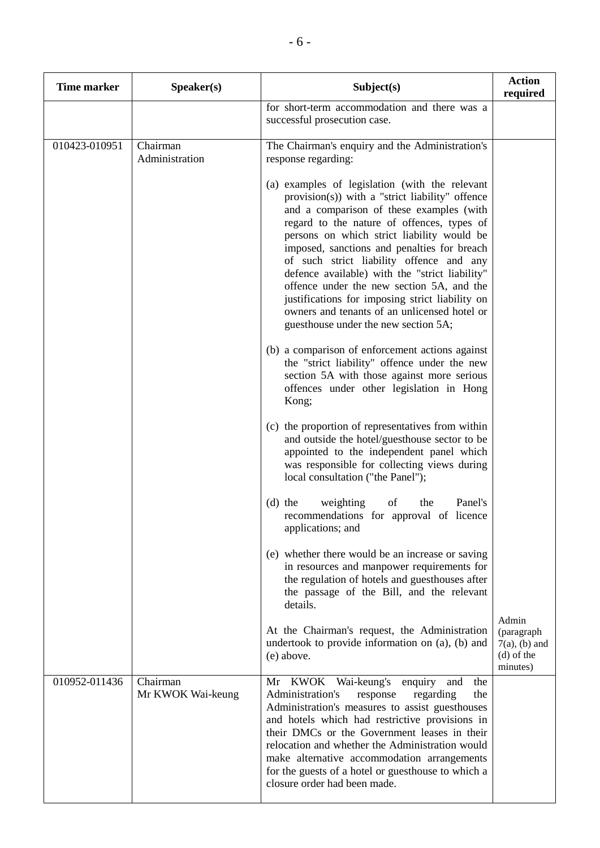| <b>Time marker</b> | Speaker(s)                    | Subject(s)                                                                                                                                                                                                                                                                                                                                                                                                                                                                                                                                                                     | <b>Action</b><br>required                                           |
|--------------------|-------------------------------|--------------------------------------------------------------------------------------------------------------------------------------------------------------------------------------------------------------------------------------------------------------------------------------------------------------------------------------------------------------------------------------------------------------------------------------------------------------------------------------------------------------------------------------------------------------------------------|---------------------------------------------------------------------|
|                    |                               | for short-term accommodation and there was a<br>successful prosecution case.                                                                                                                                                                                                                                                                                                                                                                                                                                                                                                   |                                                                     |
| 010423-010951      | Chairman<br>Administration    | The Chairman's enquiry and the Administration's<br>response regarding:                                                                                                                                                                                                                                                                                                                                                                                                                                                                                                         |                                                                     |
|                    |                               | (a) examples of legislation (with the relevant<br>provision(s)) with a "strict liability" offence<br>and a comparison of these examples (with<br>regard to the nature of offences, types of<br>persons on which strict liability would be<br>imposed, sanctions and penalties for breach<br>of such strict liability offence and any<br>defence available) with the "strict liability"<br>offence under the new section 5A, and the<br>justifications for imposing strict liability on<br>owners and tenants of an unlicensed hotel or<br>guesthouse under the new section 5A; |                                                                     |
|                    |                               | (b) a comparison of enforcement actions against<br>the "strict liability" offence under the new<br>section 5A with those against more serious<br>offences under other legislation in Hong<br>Kong;                                                                                                                                                                                                                                                                                                                                                                             |                                                                     |
|                    |                               | (c) the proportion of representatives from within<br>and outside the hotel/guesthouse sector to be<br>appointed to the independent panel which<br>was responsible for collecting views during<br>local consultation ("the Panel");                                                                                                                                                                                                                                                                                                                                             |                                                                     |
|                    |                               | weighting<br>Panel's<br>$(d)$ the<br>of<br>the<br>recommendations for approval of licence<br>applications; and                                                                                                                                                                                                                                                                                                                                                                                                                                                                 |                                                                     |
|                    |                               | (e) whether there would be an increase or saving<br>in resources and manpower requirements for<br>the regulation of hotels and guesthouses after<br>the passage of the Bill, and the relevant<br>details.                                                                                                                                                                                                                                                                                                                                                                      |                                                                     |
|                    |                               | At the Chairman's request, the Administration<br>undertook to provide information on (a), (b) and<br>(e) above.                                                                                                                                                                                                                                                                                                                                                                                                                                                                | Admin<br>(paragraph<br>$7(a)$ , (b) and<br>$(d)$ of the<br>minutes) |
| 010952-011436      | Chairman<br>Mr KWOK Wai-keung | Wai-keung's enquiry<br>KWOK<br>and<br>the<br>Mr<br>Administration's<br>regarding<br>the<br>response<br>Administration's measures to assist guesthouses<br>and hotels which had restrictive provisions in<br>their DMCs or the Government leases in their<br>relocation and whether the Administration would<br>make alternative accommodation arrangements<br>for the guests of a hotel or guesthouse to which a<br>closure order had been made.                                                                                                                               |                                                                     |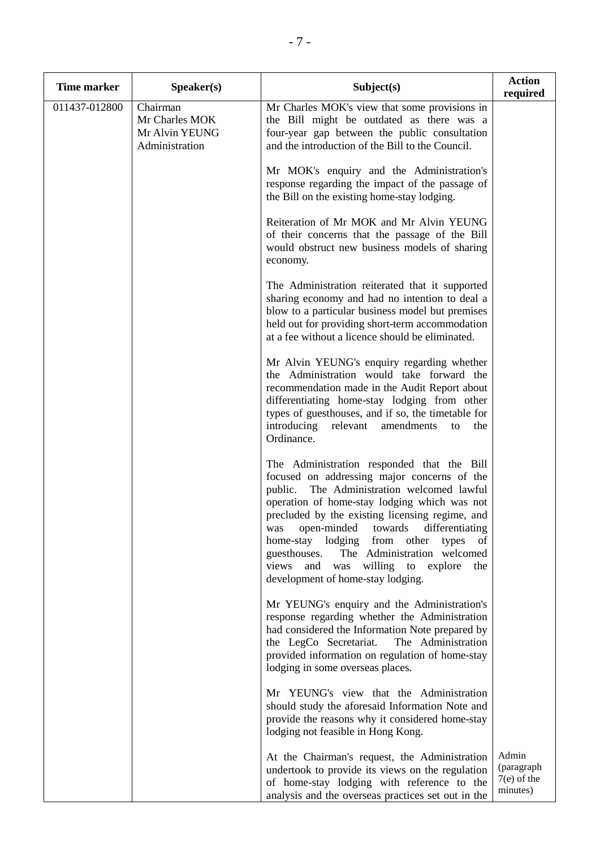| <b>Time marker</b> | Speaker(s)                                                     | Subject(s)                                                                                                                                                                                                                                                                                                                                                                                                                                                                               | <b>Action</b><br>required                        |
|--------------------|----------------------------------------------------------------|------------------------------------------------------------------------------------------------------------------------------------------------------------------------------------------------------------------------------------------------------------------------------------------------------------------------------------------------------------------------------------------------------------------------------------------------------------------------------------------|--------------------------------------------------|
| 011437-012800      | Chairman<br>Mr Charles MOK<br>Mr Alvin YEUNG<br>Administration | Mr Charles MOK's view that some provisions in<br>the Bill might be outdated as there was a<br>four-year gap between the public consultation<br>and the introduction of the Bill to the Council.                                                                                                                                                                                                                                                                                          |                                                  |
|                    |                                                                | Mr MOK's enquiry and the Administration's<br>response regarding the impact of the passage of<br>the Bill on the existing home-stay lodging.                                                                                                                                                                                                                                                                                                                                              |                                                  |
|                    |                                                                | Reiteration of Mr MOK and Mr Alvin YEUNG<br>of their concerns that the passage of the Bill<br>would obstruct new business models of sharing<br>economy.                                                                                                                                                                                                                                                                                                                                  |                                                  |
|                    |                                                                | The Administration reiterated that it supported<br>sharing economy and had no intention to deal a<br>blow to a particular business model but premises<br>held out for providing short-term accommodation<br>at a fee without a licence should be eliminated.                                                                                                                                                                                                                             |                                                  |
|                    |                                                                | Mr Alvin YEUNG's enquiry regarding whether<br>the Administration would take forward the<br>recommendation made in the Audit Report about<br>differentiating home-stay lodging from other<br>types of guesthouses, and if so, the timetable for<br>introducing<br>relevant<br>amendments<br>the<br>to<br>Ordinance.                                                                                                                                                                       |                                                  |
|                    |                                                                | The Administration responded that the Bill<br>focused on addressing major concerns of the<br>The Administration welcomed lawful<br>public.<br>operation of home-stay lodging which was not<br>precluded by the existing licensing regime, and<br>open-minded<br>towards<br>differentiating<br>was<br>home-stay lodging<br>from other<br>types<br>of<br>guesthouses.<br>The Administration welcomed<br>willing to explore<br>views and<br>was<br>the<br>development of home-stay lodging. |                                                  |
|                    |                                                                | Mr YEUNG's enquiry and the Administration's<br>response regarding whether the Administration<br>had considered the Information Note prepared by<br>the LegCo Secretariat.<br>The Administration<br>provided information on regulation of home-stay<br>lodging in some overseas places.                                                                                                                                                                                                   |                                                  |
|                    |                                                                | Mr YEUNG's view that the Administration<br>should study the aforesaid Information Note and<br>provide the reasons why it considered home-stay<br>lodging not feasible in Hong Kong.                                                                                                                                                                                                                                                                                                      |                                                  |
|                    |                                                                | At the Chairman's request, the Administration<br>undertook to provide its views on the regulation<br>of home-stay lodging with reference to the<br>analysis and the overseas practices set out in the                                                                                                                                                                                                                                                                                    | Admin<br>(paragraph<br>$7(e)$ of the<br>minutes) |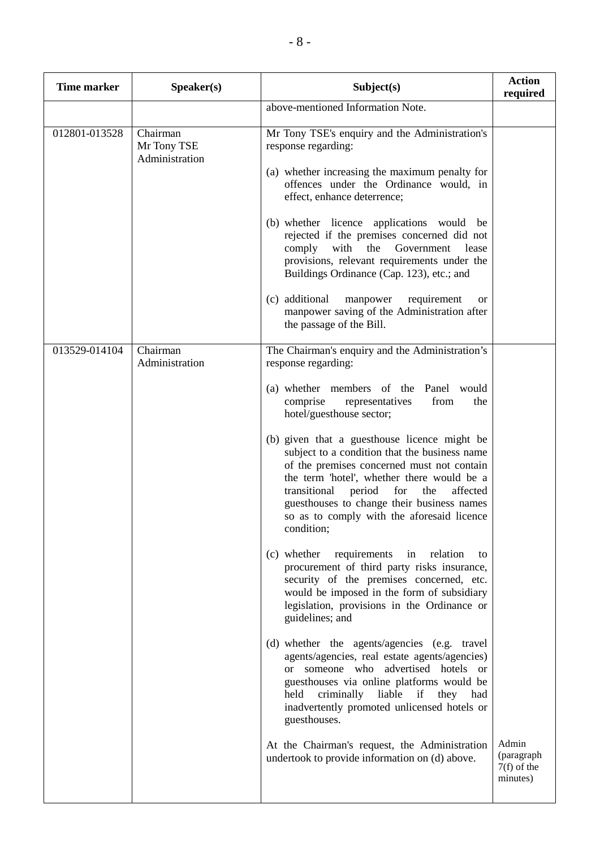| <b>Time marker</b> | Speaker(s)                                | Subject(s)                                                                                                                                                                                                                                                                                                                                              | <b>Action</b><br>required                        |
|--------------------|-------------------------------------------|---------------------------------------------------------------------------------------------------------------------------------------------------------------------------------------------------------------------------------------------------------------------------------------------------------------------------------------------------------|--------------------------------------------------|
|                    |                                           | above-mentioned Information Note.                                                                                                                                                                                                                                                                                                                       |                                                  |
| 012801-013528      | Chairman<br>Mr Tony TSE<br>Administration | Mr Tony TSE's enquiry and the Administration's<br>response regarding:                                                                                                                                                                                                                                                                                   |                                                  |
|                    |                                           | (a) whether increasing the maximum penalty for<br>offences under the Ordinance would, in<br>effect, enhance deterrence;                                                                                                                                                                                                                                 |                                                  |
|                    |                                           | (b) whether licence applications would be<br>rejected if the premises concerned did not<br>with the Government<br>comply<br>lease<br>provisions, relevant requirements under the<br>Buildings Ordinance (Cap. 123), etc.; and                                                                                                                           |                                                  |
|                    |                                           | (c) additional<br>requirement<br>manpower<br><b>or</b><br>manpower saving of the Administration after<br>the passage of the Bill.                                                                                                                                                                                                                       |                                                  |
| 013529-014104      | Chairman<br>Administration                | The Chairman's enquiry and the Administration's<br>response regarding:                                                                                                                                                                                                                                                                                  |                                                  |
|                    |                                           | (a) whether members of the Panel<br>would<br>comprise<br>representatives<br>from<br>the<br>hotel/guesthouse sector;                                                                                                                                                                                                                                     |                                                  |
|                    |                                           | (b) given that a guesthouse licence might be<br>subject to a condition that the business name<br>of the premises concerned must not contain<br>the term 'hotel', whether there would be a<br>transitional<br>period<br>for<br>the<br>affected<br>guesthouses to change their business names<br>so as to comply with the aforesaid licence<br>condition; |                                                  |
|                    |                                           | (c) whether<br>requirements<br>in relation<br>to<br>procurement of third party risks insurance,<br>security of the premises concerned, etc.<br>would be imposed in the form of subsidiary<br>legislation, provisions in the Ordinance or<br>guidelines; and                                                                                             |                                                  |
|                    |                                           | (d) whether the agents/agencies (e.g. travel<br>agents/agencies, real estate agents/agencies)<br>or someone who advertised hotels or<br>guesthouses via online platforms would be<br>liable<br>criminally<br>if<br>held<br>they had<br>inadvertently promoted unlicensed hotels or<br>guesthouses.                                                      |                                                  |
|                    |                                           | At the Chairman's request, the Administration<br>undertook to provide information on (d) above.                                                                                                                                                                                                                                                         | Admin<br>(paragraph<br>$7(f)$ of the<br>minutes) |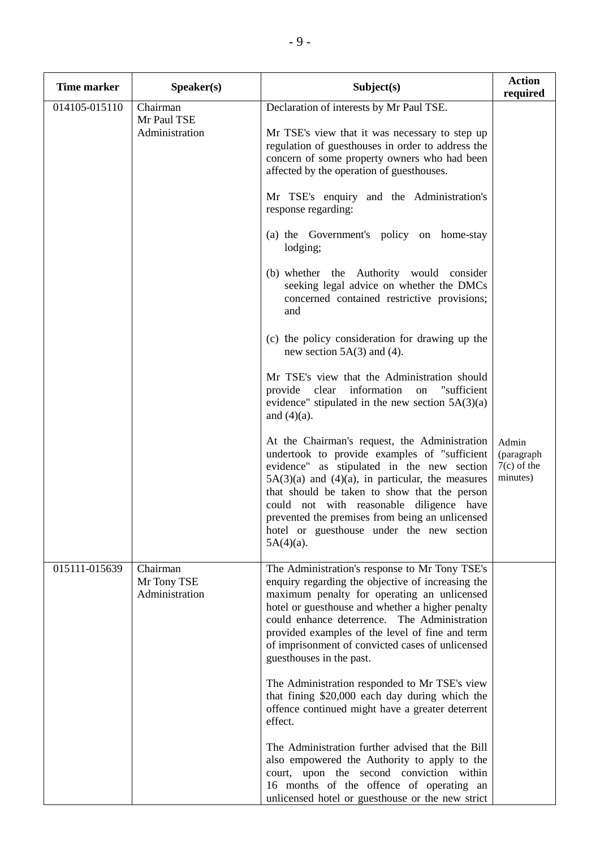| <b>Time marker</b> | Speaker(s)                                | Subject(s)                                                                                                                                                                                                                                                                                                                                                                                                       | <b>Action</b><br>required                        |
|--------------------|-------------------------------------------|------------------------------------------------------------------------------------------------------------------------------------------------------------------------------------------------------------------------------------------------------------------------------------------------------------------------------------------------------------------------------------------------------------------|--------------------------------------------------|
| 014105-015110      | Chairman<br>Mr Paul TSE<br>Administration | Declaration of interests by Mr Paul TSE.<br>Mr TSE's view that it was necessary to step up<br>regulation of guesthouses in order to address the<br>concern of some property owners who had been<br>affected by the operation of guesthouses.                                                                                                                                                                     |                                                  |
|                    |                                           | Mr TSE's enquiry and the Administration's<br>response regarding:                                                                                                                                                                                                                                                                                                                                                 |                                                  |
|                    |                                           | (a) the Government's policy on home-stay<br>lodging;                                                                                                                                                                                                                                                                                                                                                             |                                                  |
|                    |                                           | (b) whether the Authority would consider<br>seeking legal advice on whether the DMCs<br>concerned contained restrictive provisions;<br>and                                                                                                                                                                                                                                                                       |                                                  |
|                    |                                           | (c) the policy consideration for drawing up the<br>new section $5A(3)$ and (4).                                                                                                                                                                                                                                                                                                                                  |                                                  |
|                    |                                           | Mr TSE's view that the Administration should<br>provide clear information on "sufficient<br>evidence" stipulated in the new section $5A(3)(a)$<br>and $(4)(a)$ .                                                                                                                                                                                                                                                 |                                                  |
|                    |                                           | At the Chairman's request, the Administration<br>undertook to provide examples of "sufficient<br>evidence" as stipulated in the new section<br>$5A(3)(a)$ and $(4)(a)$ , in particular, the measures<br>that should be taken to show that the person<br>could not with reasonable diligence have<br>prevented the premises from being an unlicensed<br>hotel or guesthouse under the new section<br>$5A(4)(a)$ . | Admin<br>(paragraph<br>$7(c)$ of the<br>minutes) |
| 015111-015639      | Chairman<br>Mr Tony TSE<br>Administration | The Administration's response to Mr Tony TSE's<br>enquiry regarding the objective of increasing the<br>maximum penalty for operating an unlicensed<br>hotel or guesthouse and whether a higher penalty<br>could enhance deterrence. The Administration<br>provided examples of the level of fine and term<br>of imprisonment of convicted cases of unlicensed<br>guesthouses in the past.                        |                                                  |
|                    |                                           | The Administration responded to Mr TSE's view<br>that fining \$20,000 each day during which the<br>offence continued might have a greater deterrent<br>effect.                                                                                                                                                                                                                                                   |                                                  |
|                    |                                           | The Administration further advised that the Bill<br>also empowered the Authority to apply to the<br>court, upon the second conviction within<br>16 months of the offence of operating an<br>unlicensed hotel or guesthouse or the new strict                                                                                                                                                                     |                                                  |